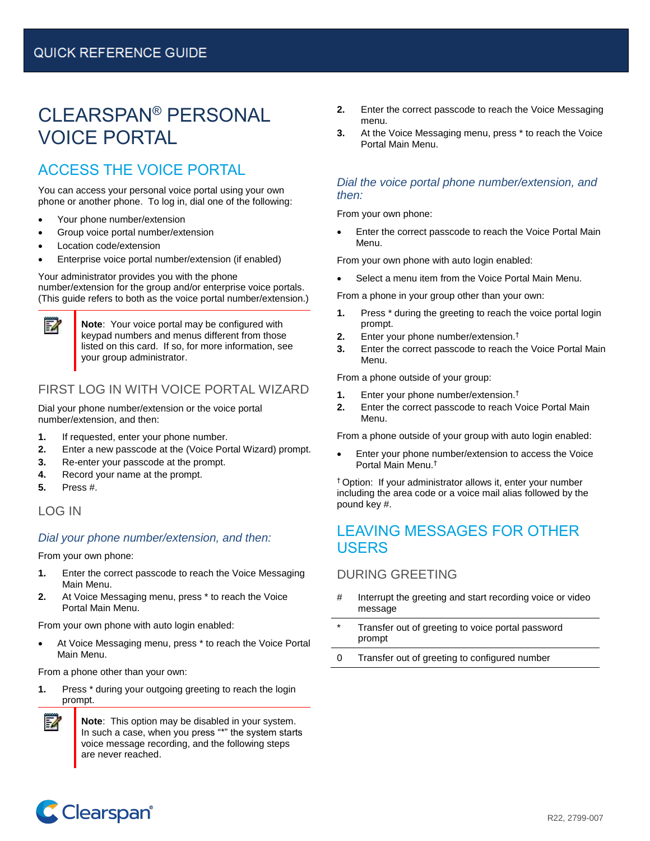# CLEARSPAN® PERSONAL VOICE PORTAL

## ACCESS THE VOICE PORTAL

You can access your personal voice portal using your own phone or another phone. To log in, dial one of the following:

- Your phone number/extension
- Group voice portal number/extension
- Location code/extension
- Enterprise voice portal number/extension (if enabled)

Your administrator provides you with the phone number/extension for the group and/or enterprise voice portals. (This guide refers to both as the voice portal number/extension.)

> **Note**: Your voice portal may be configured with keypad numbers and menus different from those listed on this card. If so, for more information, see your group administrator.

## FIRST LOG IN WITH VOICE PORTAL WIZARD

Dial your phone number/extension or the voice portal number/extension, and then:

- **1.** If requested, enter your phone number.
- **2.** Enter a new passcode at the (Voice Portal Wizard) prompt.
- **3.** Re-enter your passcode at the prompt.
- **4.** Record your name at the prompt.
- **5.** Press #.

54

#### LOG IN

#### *Dial your phone number/extension, and then:*

From your own phone:

- **1.** Enter the correct passcode to reach the Voice Messaging Main Menu.
- **2.** At Voice Messaging menu, press \* to reach the Voice Portal Main Menu.

From your own phone with auto login enabled:

At Voice Messaging menu, press \* to reach the Voice Portal Main Menu.

From a phone other than your own:

**1.** Press \* during your outgoing greeting to reach the login prompt.



**Note**: This option may be disabled in your system. In such a case, when you press "\*" the system starts voice message recording, and the following steps are never reached.

- **2.** Enter the correct passcode to reach the Voice Messaging menu.
- **3.** At the Voice Messaging menu, press \* to reach the Voice Portal Main Menu.

#### *Dial the voice portal phone number/extension, and then:*

From your own phone:

• Enter the correct passcode to reach the Voice Portal Main Menu.

From your own phone with auto login enabled:

• Select a menu item from the Voice Portal Main Menu.

From a phone in your group other than your own:

- **1.** Press \* during the greeting to reach the voice portal login prompt.
- **2.** Enter your phone number/extension.†
- **3.** Enter the correct passcode to reach the Voice Portal Main Menu.

From a phone outside of your group:

- **1.** Enter your phone number/extension.†
- **2.** Enter the correct passcode to reach Voice Portal Main Menu.

From a phone outside of your group with auto login enabled:

Enter your phone number/extension to access the Voice Portal Main Menu. †

† Option: If your administrator allows it, enter your number including the area code or a voice mail alias followed by the pound key #.

## LEAVING MESSAGES FOR OTHER USERS

#### DURING GREETING

- # Interrupt the greeting and start recording voice or video message
- Transfer out of greeting to voice portal password prompt
- 0 Transfer out of greeting to configured number

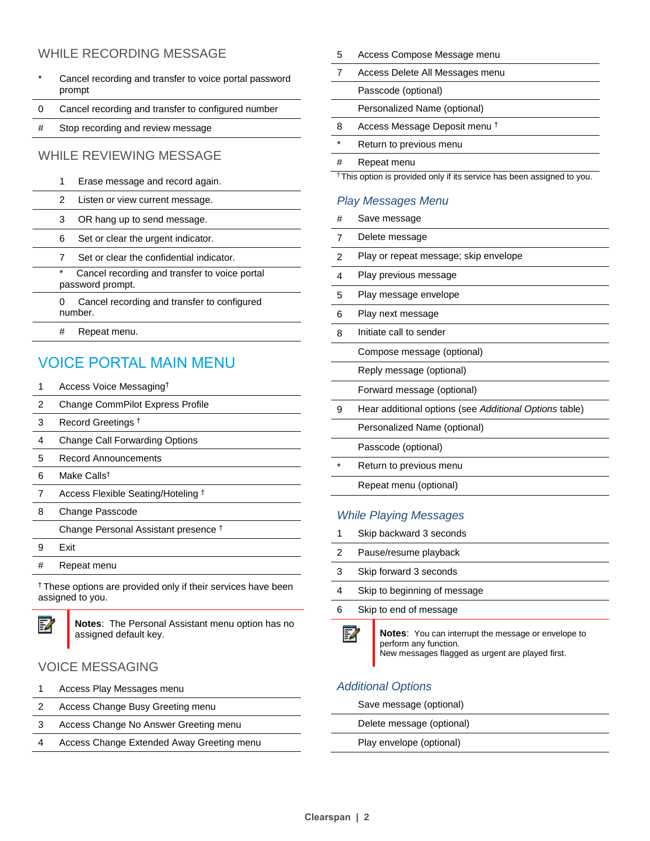### WHILE RECORDING MESSAGE

- Cancel recording and transfer to voice portal password prompt
- 0 Cancel recording and transfer to configured number
- # Stop recording and review message

#### WHILE REVIEWING MESSAGE

- 1 Erase message and record again.
- 2 Listen or view current message.
- 3 OR hang up to send message.
- 6 Set or clear the urgent indicator.
- 7 Set or clear the confidential indicator.
- \* Cancel recording and transfer to voice portal password prompt.
	- 0 Cancel recording and transfer to configured number.
	- # Repeat menu.

## VOICE PORTAL MAIN MENU

- 1 Access Voice Messaging†
- 2 Change CommPilot Express Profile
- 3 Record Greetings †
- 4 Change Call Forwarding Options
- 5 Record Announcements
- 6 Make Calls†
- 7 Access Flexible Seating/Hoteling <sup>†</sup>
- 8 Change Passcode

Change Personal Assistant presence †

- 9 Exit
- # Repeat menu

† These options are provided only if their services have been assigned to you.



**Notes**: The Personal Assistant menu option has no assigned default key.

### VOICE MESSAGING

- 1 Access Play Messages menu
- 2 Access Change Busy Greeting menu
- 3 Access Change No Answer Greeting menu
- 4 Access Change Extended Away Greeting menu

5 Access Compose Message menu

|                                                                                    | Access Delete All Messages menu          |
|------------------------------------------------------------------------------------|------------------------------------------|
|                                                                                    | Passcode (optional)                      |
|                                                                                    | Personalized Name (optional)             |
| 8                                                                                  | Access Message Deposit menu <sup>†</sup> |
| $\ast$                                                                             | Return to previous menu                  |
| #                                                                                  | Repeat menu                              |
| <sup>†</sup> This option is provided only if its service has been assigned to you. |                                          |

#### *Play Messages Menu*

# Save message 7 Delete message 2 Play or repeat message; skip envelope 4 Play previous message 5 Play message envelope 6 Play next message 8 Initiate call to sender Compose message (optional) Reply message (optional) Forward message (optional) 9 Hear additional options (see *Additional Options* table) Personalized Name (optional) Passcode (optional) Return to previous menu Repeat menu (optional)

#### *While Playing Messages*

- 1 Skip backward 3 seconds
- 2 Pause/resume playback
- 3 Skip forward 3 seconds
- 4 Skip to beginning of message
- 6 Skip to end of message



**Notes**: You can interrupt the message or envelope to perform any function. New messages flagged as urgent are played first.

### *Additional Options*

Save message (optional)

Delete message (optional)

Play envelope (optional)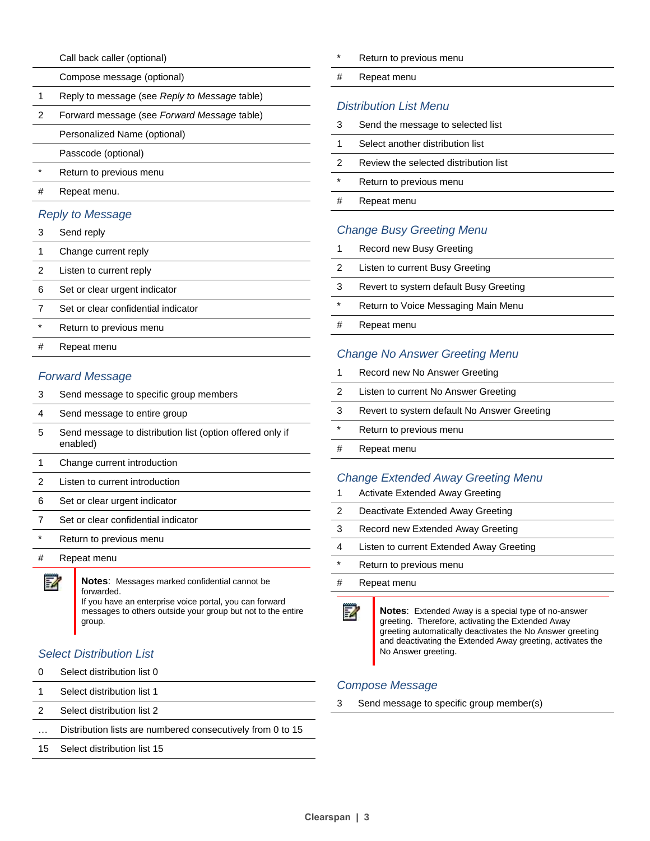Call back caller (optional)

|         | Compose message (optional)                    |
|---------|-----------------------------------------------|
| 1       | Reply to message (see Reply to Message table) |
| 2       | Forward message (see Forward Message table)   |
|         | Personalized Name (optional)                  |
|         | Passcode (optional)                           |
| $\star$ | Return to previous menu                       |
| #       | Repeat menu.                                  |
|         |                                               |

#### *Reply to Message*

| 3 | Send reply |  |
|---|------------|--|
|---|------------|--|

- 1 Change current reply
- 2 Listen to current reply
- 6 Set or clear urgent indicator
- 7 Set or clear confidential indicator
- \* Return to previous menu
- # Repeat menu

#### *Forward Message*

| 3 | Send message to specific group members                                |
|---|-----------------------------------------------------------------------|
| 4 | Send message to entire group                                          |
| 5 | Send message to distribution list (option offered only if<br>enabled) |
| 1 | Change current introduction                                           |
| 2 | Listen to current introduction                                        |
| 6 | Set or clear urgent indicator                                         |
|   | Set or clear confidential indicator                                   |

- Return to previous menu
- # Repeat menu



**Notes**: Messages marked confidential cannot be forwarded. If you have an enterprise voice portal, you can forward

messages to others outside your group but not to the entire group.

#### *Select Distribution List*

- 0 Select distribution list 0
- 1 Select distribution list 1
- 2 Select distribution list 2
- … Distribution lists are numbered consecutively from 0 to 15
- 15 Select distribution list 15
- Return to previous menu
- # Repeat menu

#### *Distribution List Menu*

| 3 | Send the message to selected list     |
|---|---------------------------------------|
|   | Select another distribution list      |
| 2 | Review the selected distribution list |
| * | Return to previous menu               |
| # | Repeat menu                           |
|   |                                       |

#### *Change Busy Greeting Menu*

- 1 Record new Busy Greeting
- 2 Listen to current Busy Greeting
- 3 Revert to system default Busy Greeting
- \* Return to Voice Messaging Main Menu
- # Repeat menu

#### *Change No Answer Greeting Menu*

| 1       | Record new No Answer Greeting               |
|---------|---------------------------------------------|
| 2       | Listen to current No Answer Greeting        |
| 3       | Revert to system default No Answer Greeting |
| $\star$ | Return to previous menu                     |
| #       | Repeat menu                                 |
|         |                                             |

#### *Change Extended Away Greeting Menu*

| 1      | Activate Extended Away Greeting          |
|--------|------------------------------------------|
| 2      | Deactivate Extended Away Greeting        |
| 3      | Record new Extended Away Greeting        |
| 4      | Listen to current Extended Away Greeting |
| $\ast$ | Return to previous menu                  |
| #      | Repeat menu                              |
|        |                                          |



**Notes**: Extended Away is a special type of no-answer greeting. Therefore, activating the Extended Away greeting automatically deactivates the No Answer greeting and deactivating the Extended Away greeting, activates the No Answer greeting.

#### *Compose Message*

3 Send message to specific group member(s)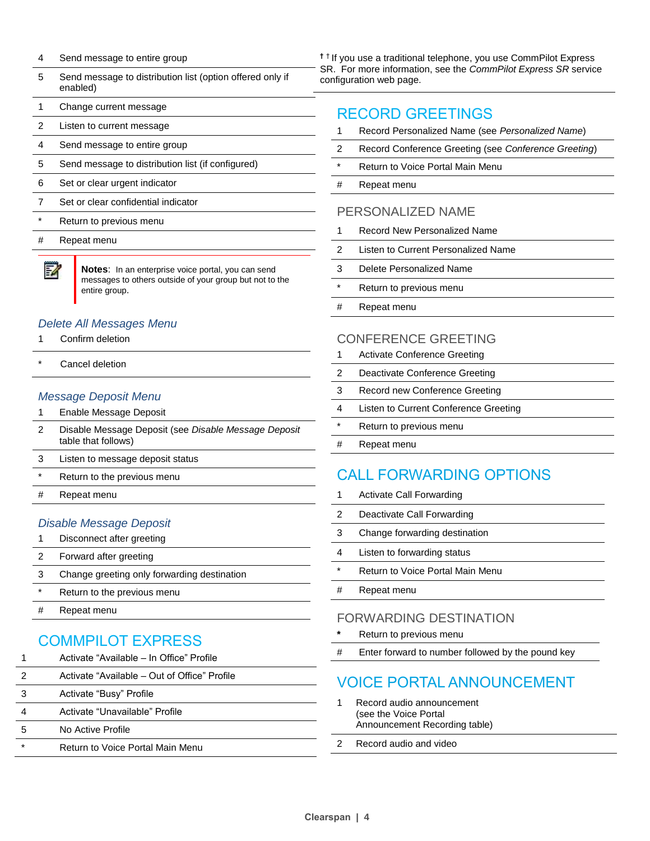- 4 Send message to entire group
- 5 Send message to distribution list (option offered only if enabled)
- 1 Change current message
- 2 Listen to current message
- 4 Send message to entire group
- 5 Send message to distribution list (if configured)
- 6 Set or clear urgent indicator
- 7 Set or clear confidential indicator
- \* Return to previous menu
- # Repeat menu

54

**Notes**: In an enterprise voice portal, you can send messages to others outside of your group but not to the entire group.

#### *Delete All Messages Menu*

- 1 Confirm deletion
- Cancel deletion

#### *Message Deposit Menu*

- 1 Enable Message Deposit
- 2 Disable Message Deposit (see *Disable Message Deposit* table that follows)
- 3 Listen to message deposit status
- Return to the previous menu
- # Repeat menu

#### *Disable Message Deposit*

- 1 Disconnect after greeting
- 2 Forward after greeting
- 3 Change greeting only forwarding destination
- \* Return to the previous menu
- # Repeat menu

## COMMPILOT EXPRESS

|         | Activate "Available – In Office" Profile     |
|---------|----------------------------------------------|
| 2       | Activate "Available – Out of Office" Profile |
| 3       | Activate "Busy" Profile                      |
| 4       | Activate "Unavailable" Profile               |
| 5       | No Active Profile                            |
| $\star$ | Return to Voice Portal Main Menu             |
|         |                                              |

**†** † If you use a traditional telephone, you use CommPilot Express SR. For more information, see the *CommPilot Express SR* service configuration web page.

## RECORD GREETINGS

- 1 Record Personalized Name (see *Personalized Name*)
- 2 Record Conference Greeting (see *Conference Greeting*)
- \* Return to Voice Portal Main Menu
- # Repeat menu

#### PERSONALIZED NAME

- 1 Record New Personalized Name
- 2 Listen to Current Personalized Name
- 3 Delete Personalized Name
- \* Return to previous menu
- # Repeat menu

#### CONFERENCE GREETING

|         | Activate Conference Greeting          |
|---------|---------------------------------------|
| 2       | Deactivate Conference Greeting        |
| 3       | Record new Conference Greeting        |
| 4       | Listen to Current Conference Greeting |
| $\star$ | Return to previous menu               |
| #       | Repeat menu                           |
|         |                                       |

## CALL FORWARDING OPTIONS

- 1 Activate Call Forwarding
- 2 Deactivate Call Forwarding
- 3 Change forwarding destination
- 4 Listen to forwarding status
- \* Return to Voice Portal Main Menu
- # Repeat menu

#### FORWARDING DESTINATION

- **\*** Return to previous menu
- # Enter forward to number followed by the pound key

## VOICE PORTAL ANNOUNCEMENT

- 1 Record audio announcement (see the Voice Portal Announcement Recording table)
- 2 Record audio and video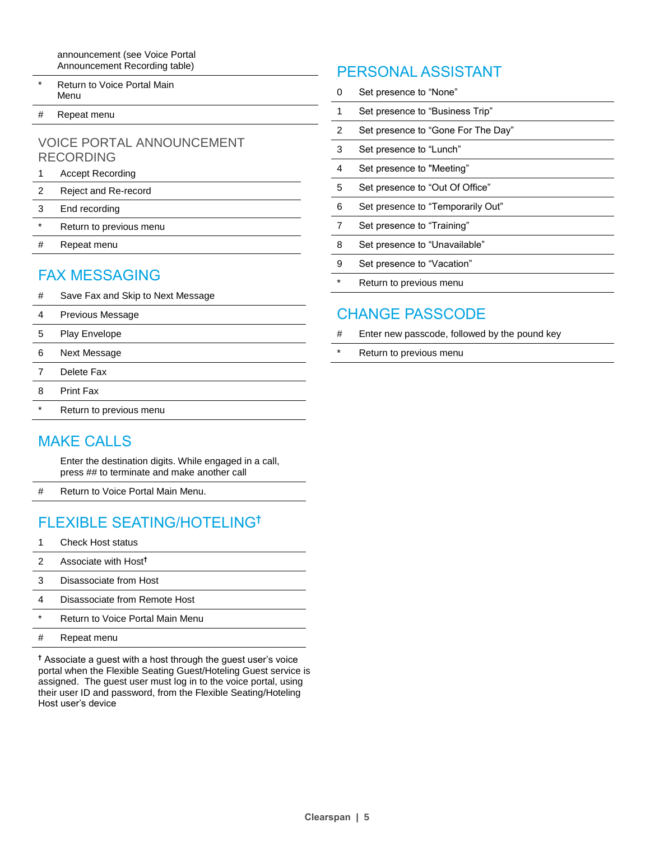announcement (see Voice Portal Announcement Recording table)

- Return to Voice Portal Main Menu
- # Repeat menu

#### VOICE PORTAL ANNOUNCEMENT RECORDING

- 1 Accept Recording
- 2 Reject and Re-record
- 3 End recording
- \* Return to previous menu
- # Repeat menu

## FAX MESSAGING

- # Save Fax and Skip to Next Message
- 4 Previous Message
- 5 Play Envelope
- 6 Next Message
- 7 Delete Fax
- 8 Print Fax
- \* Return to previous menu

## MAKE CALLS

Enter the destination digits. While engaged in a call, press ## to terminate and make another call

# Return to Voice Portal Main Menu.

## FLEXIBLE SEATING/HOTELING**†**

- 1 Check Host status
- 2 Associate with Host**†**
- 3 Disassociate from Host
- 4 Disassociate from Remote Host
- \* Return to Voice Portal Main Menu
- # Repeat menu

**†** Associate a guest with a host through the guest user's voice portal when the Flexible Seating Guest/Hoteling Guest service is assigned. The guest user must log in to the voice portal, using their user ID and password, from the Flexible Seating/Hoteling Host user's device

## PERSONAL ASSISTANT

| ∩ | Set presence to "None"             |
|---|------------------------------------|
| 1 | Set presence to "Business Trip"    |
| 2 | Set presence to "Gone For The Day" |
| 3 | Set presence to "Lunch"            |
| 4 | Set presence to "Meeting"          |
| 5 | Set presence to "Out Of Office"    |
| 6 | Set presence to "Temporarily Out"  |
|   | Set presence to "Training"         |
| 8 | Set presence to "Unavailable"      |
| 9 | Set presence to "Vacation"         |
|   | Return to previous menu            |

## CHANGE PASSCODE

- # Enter new passcode, followed by the pound key
- \* Return to previous menu